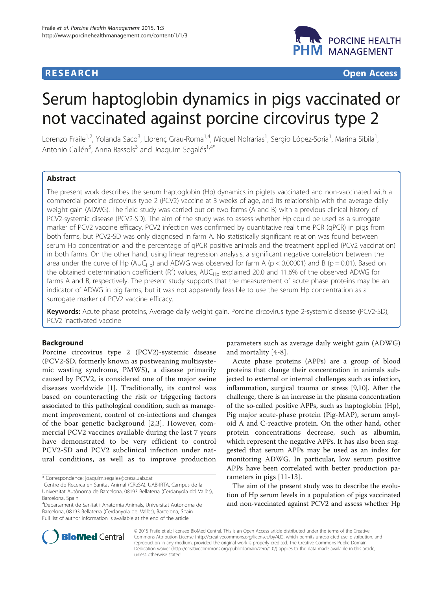## **RESEARCH CHE CHE Open Access**



# Serum haptoglobin dynamics in pigs vaccinated or not vaccinated against porcine circovirus type 2

Lorenzo Fraile<sup>1,2</sup>, Yolanda Saco<sup>3</sup>, Llorenç Grau-Roma<sup>1,4</sup>, Miquel Nofrarías<sup>1</sup>, Sergio López-Soria<sup>1</sup>, Marina Sibila<sup>1</sup> , Antonio Callén<sup>5</sup>, Anna Bassols<sup>3</sup> and Joaquim Segalés<sup>1,4\*</sup>

## Abstract

The present work describes the serum haptoglobin (Hp) dynamics in piglets vaccinated and non-vaccinated with a commercial porcine circovirus type 2 (PCV2) vaccine at 3 weeks of age, and its relationship with the average daily weight gain (ADWG). The field study was carried out on two farms (A and B) with a previous clinical history of PCV2-systemic disease (PCV2-SD). The aim of the study was to assess whether Hp could be used as a surrogate marker of PCV2 vaccine efficacy. PCV2 infection was confirmed by quantitative real time PCR (qPCR) in pigs from both farms, but PCV2-SD was only diagnosed in farm A. No statistically significant relation was found between serum Hp concentration and the percentage of qPCR positive animals and the treatment applied (PCV2 vaccination) in both farms. On the other hand, using linear regression analysis, a significant negative correlation between the area under the curve of Hp (AUC<sub>Hp</sub>) and ADWG was observed for farm A (p < 0.00001) and B (p = 0.01). Based on the obtained determination coefficient ( $R^2$ ) values, AUC<sub>Hp</sub> explained 20.0 and 11.6% of the observed ADWG for farms A and B, respectively. The present study supports that the measurement of acute phase proteins may be an indicator of ADWG in pig farms, but it was not apparently feasible to use the serum Hp concentration as a surrogate marker of PCV2 vaccine efficacy.

Keywords: Acute phase proteins, Average daily weight gain, Porcine circovirus type 2-systemic disease (PCV2-SD), PCV2 inactivated vaccine

## Background

Porcine circovirus type 2 (PCV2)-systemic disease (PCV2-SD, formerly known as postweaning multisystemic wasting syndrome, PMWS), a disease primarily caused by PCV2, is considered one of the major swine diseases worldwide [\[1\]](#page-3-0). Traditionally, its control was based on counteracting the risk or triggering factors associated to this pathological condition, such as management improvement, control of co-infections and changes of the boar genetic background [\[2](#page-3-0),[3\]](#page-3-0). However, commercial PCV2 vaccines available during the last 7 years have demonstrated to be very efficient to control PCV2-SD and PCV2 subclinical infection under natural conditions, as well as to improve production

parameters such as average daily weight gain (ADWG) and mortality [[4-8\]](#page-3-0).

Acute phase proteins (APPs) are a group of blood proteins that change their concentration in animals subjected to external or internal challenges such as infection, inflammation, surgical trauma or stress [\[9,10\]](#page-3-0). After the challenge, there is an increase in the plasma concentration of the so-called positive APPs, such as haptoglobin (Hp), Pig major acute-phase protein (Pig-MAP), serum amyloid A and C-reactive protein. On the other hand, other protein concentrations decrease, such as albumin, which represent the negative APPs. It has also been suggested that serum APPs may be used as an index for monitoring ADWG. In particular, low serum positive APPs have been correlated with better production parameters in pigs [[11](#page-3-0)-[13\]](#page-3-0).

The aim of the present study was to describe the evolution of Hp serum levels in a population of pigs vaccinated and non-vaccinated against PCV2 and assess whether Hp



© 2015 Fraile et al.; licensee BioMed Central. This is an Open Access article distributed under the terms of the Creative Commons Attribution License [\(http://creativecommons.org/licenses/by/4.0\)](http://creativecommons.org/licenses/by/4.0), which permits unrestricted use, distribution, and reproduction in any medium, provided the original work is properly credited. The Creative Commons Public Domain Dedication waiver [\(http://creativecommons.org/publicdomain/zero/1.0/](http://creativecommons.org/publicdomain/zero/1.0/)) applies to the data made available in this article, unless otherwise stated.

<sup>\*</sup> Correspondence: [joaquim.segales@cresa.uab.cat](mailto:joaquim.segales@cresa.uab.cat) <sup>1</sup>

<sup>&</sup>lt;sup>1</sup>Centre de Recerca en Sanitat Animal (CReSA), UAB-IRTA, Campus de la Universitat Autònoma de Barcelona, 08193 Bellaterra (Cerdanyola del Vallès), Barcelona, Spain

<sup>4</sup> Departament de Sanitat i Anatomia Animals, Universitat Autònoma de Barcelona, 08193 Bellaterra (Cerdanyola del Vallès), Barcelona, Spain Full list of author information is available at the end of the article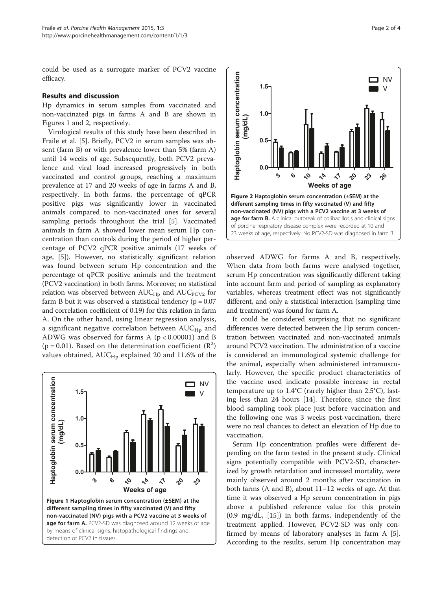<span id="page-1-0"></span>could be used as a surrogate marker of PCV2 vaccine efficacy.

#### Results and discussion

Hp dynamics in serum samples from vaccinated and non-vaccinated pigs in farms A and B are shown in Figures 1 and 2, respectively.

Virological results of this study have been described in Fraile et al. [[5\]](#page-3-0). Briefly, PCV2 in serum samples was absent (farm B) or with prevalence lower than 5% (farm A) until 14 weeks of age. Subsequently, both PCV2 prevalence and viral load increased progressively in both vaccinated and control groups, reaching a maximum prevalence at 17 and 20 weeks of age in farms A and B, respectively. In both farms, the percentage of qPCR positive pigs was significantly lower in vaccinated animals compared to non-vaccinated ones for several sampling periods throughout the trial [\[5](#page-3-0)]. Vaccinated animals in farm A showed lower mean serum Hp concentration than controls during the period of higher percentage of PCV2 qPCR positive animals (17 weeks of age, [\[5](#page-3-0)]). However, no statistically significant relation was found between serum Hp concentration and the percentage of qPCR positive animals and the treatment (PCV2 vaccination) in both farms. Moreover, no statistical relation was observed between  $AUC_{Hp}$  and  $AUC_{PCV2}$  for farm B but it was observed a statistical tendency ( $p = 0.07$ ) and correlation coefficient of 0.19) for this relation in farm A. On the other hand, using linear regression analysis, a significant negative correlation between  $AUC_{HD}$  and ADWG was observed for farms A  $(p < 0.00001)$  and B ( $p = 0.01$ ). Based on the determination coefficient ( $\mathbb{R}^2$ ) values obtained,  $AUC_{Hp}$  explained 20 and 11.6% of the





observed ADWG for farms A and B, respectively. When data from both farms were analysed together, serum Hp concentration was significantly different taking into account farm and period of sampling as explanatory variables, whereas treatment effect was not significantly different, and only a statistical interaction (sampling time and treatment) was found for farm A.

It could be considered surprising that no significant differences were detected between the Hp serum concentration between vaccinated and non-vaccinated animals around PCV2 vaccination. The administration of a vaccine is considered an immunological systemic challenge for the animal, especially when administered intramuscularly. However, the specific product characteristics of the vaccine used indicate possible increase in rectal temperature up to 1.4°C (rarely higher than 2.5°C), lasting less than 24 hours [[14\]](#page-3-0). Therefore, since the first blood sampling took place just before vaccination and the following one was 3 weeks post-vaccination, there were no real chances to detect an elevation of Hp due to vaccination.

Serum Hp concentration profiles were different depending on the farm tested in the present study. Clinical signs potentially compatible with PCV2-SD, characterized by growth retardation and increased mortality, were mainly observed around 2 months after vaccination in both farms (A and B), about 11–12 weeks of age. At that time it was observed a Hp serum concentration in pigs above a published reference value for this protein (0.9 mg/dL, [\[15](#page-3-0)]) in both farms, independently of the treatment applied. However, PCV2-SD was only confirmed by means of laboratory analyses in farm A [\[5](#page-3-0)]. According to the results, serum Hp concentration may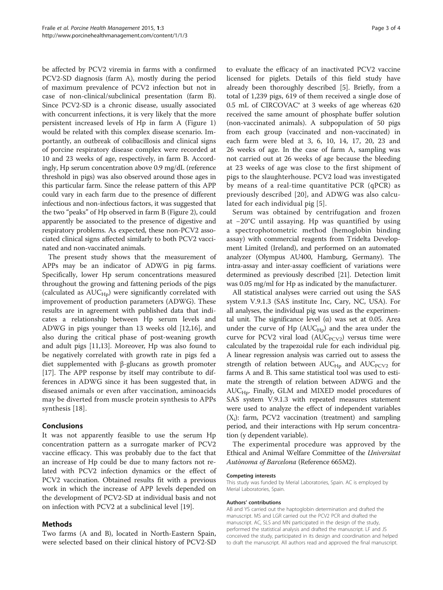be affected by PCV2 viremia in farms with a confirmed PCV2-SD diagnosis (farm A), mostly during the period of maximum prevalence of PCV2 infection but not in case of non-clinical/subclinical presentation (farm B). Since PCV2-SD is a chronic disease, usually associated with concurrent infections, it is very likely that the more persistent increased levels of Hp in farm A (Figure [1](#page-1-0)) would be related with this complex disease scenario. Importantly, an outbreak of colibacillosis and clinical signs of porcine respiratory disease complex were recorded at 10 and 23 weeks of age, respectively, in farm B. Accordingly, Hp serum concentration above 0.9 mg/dL (reference threshold in pigs) was also observed around those ages in this particular farm. Since the release pattern of this APP could vary in each farm due to the presence of different infectious and non-infectious factors, it was suggested that the two "peaks" of Hp observed in farm B (Figure [2\)](#page-1-0), could apparently be associated to the presence of digestive and respiratory problems. As expected, these non-PCV2 associated clinical signs affected similarly to both PCV2 vaccinated and non-vaccinated animals.

The present study shows that the measurement of APPs may be an indicator of ADWG in pig farms. Specifically, lower Hp serum concentrations measured throughout the growing and fattening periods of the pigs (calculated as  $AUC_{HD}$ ) were significantly correlated with improvement of production parameters (ADWG). These results are in agreement with published data that indicates a relationship between Hp serum levels and ADWG in pigs younger than 13 weeks old [[12](#page-3-0),[16](#page-3-0)], and also during the critical phase of post-weaning growth and adult pigs [\[11,13\]](#page-3-0). Moreover, Hp was also found to be negatively correlated with growth rate in pigs fed a diet supplemented with β-glucans as growth promoter [[17\]](#page-3-0). The APP response by itself may contribute to differences in ADWG since it has been suggested that, in diseased animals or even after vaccination, aminoacids may be diverted from muscle protein synthesis to APPs synthesis [[18](#page-3-0)].

## Conclusions

It was not apparently feasible to use the serum Hp concentration pattern as a surrogate marker of PCV2 vaccine efficacy. This was probably due to the fact that an increase of Hp could be due to many factors not related with PCV2 infection dynamics or the effect of PCV2 vaccination. Obtained results fit with a previous work in which the increase of APP levels depended on the development of PCV2-SD at individual basis and not on infection with PCV2 at a subclinical level [[19\]](#page-3-0).

#### Methods

Two farms (A and B), located in North-Eastern Spain, were selected based on their clinical history of PCV2-SD

to evaluate the efficacy of an inactivated PCV2 vaccine licensed for piglets. Details of this field study have already been thoroughly described [\[5](#page-3-0)]. Briefly, from a total of 1,239 pigs, 619 of them received a single dose of 0.5 mL of CIRCOVAC® at 3 weeks of age whereas 620 received the same amount of phosphate buffer solution (non-vaccinated animals). A subpopulation of 50 pigs from each group (vaccinated and non-vaccinated) in each farm were bled at 3, 6, 10, 14, 17, 20, 23 and 26 weeks of age. In the case of farm A, sampling was not carried out at 26 weeks of age because the bleeding at 23 weeks of age was close to the first shipment of pigs to the slaughterhouse. PCV2 load was investigated by means of a real-time quantitative PCR (qPCR) as previously described [\[20](#page-3-0)], and ADWG was also calculated for each individual pig [[5\]](#page-3-0).

Serum was obtained by centrifugation and frozen at −20°C until assaying. Hp was quantified by using a spectrophotometric method (hemoglobin binding assay) with commercial reagents from Tridelta Development Limited (Ireland), and performed on an automated analyzer (Olympus AU400, Hamburg, Germany). The intra-assay and inter-assay coefficient of variations were determined as previously described [\[21](#page-3-0)]. Detection limit was 0.05 mg/ml for Hp as indicated by the manufacturer.

All statistical analyses were carried out using the SAS system V.9.1.3 (SAS institute Inc, Cary, NC, USA). For all analyses, the individual pig was used as the experimental unit. The significance level (α) was set at 0.05. Area under the curve of Hp  $(AUC_{Hp})$  and the area under the curve for PCV2 viral load  $(AUC<sub>PCV2</sub>)$  versus time were calculated by the trapezoidal rule for each individual pig. A linear regression analysis was carried out to assess the strength of relation between  $AUC_{HD}$  and  $AUC_{PCV2}$  for farms A and B. This same statistical tool was used to estimate the strength of relation between ADWG and the  $AUC_{Hp}$ . Finally, GLM and MIXED model procedures of SAS system V.9.1.3 with repeated measures statement were used to analyze the effect of independent variables  $(X_i)$ : farm, PCV2 vaccination (treatment) and sampling period, and their interactions with Hp serum concentration (y dependent variable).

The experimental procedure was approved by the Ethical and Animal Welfare Committee of the Universitat Autònoma of Barcelona (Reference 665M2).

#### Competing interests

This study was funded by Merial Laboratories, Spain. AC is employed by Merial Laboratories, Spain.

#### Authors' contributions

AB and YS carried out the haptoglobin determination and drafted the manuscript. MS and LGR carried out the PCV2 PCR and drafted the manuscript. AC, SLS and MN participated in the design of the study, performed the statistical analysis and drafted the manuscript. LF and JS conceived the study, participated in its design and coordination and helped to draft the manuscript. All authors read and approved the final manuscript.